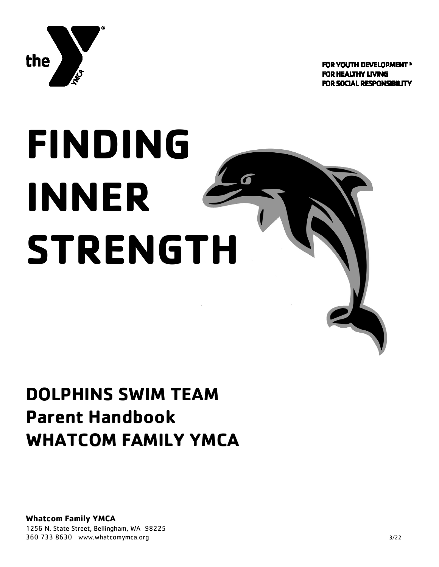

**FOR YOUTH DEVELOPMENT® FOR HEALTHY LIVING FOR SOCIAL RESPONSIBILITY** 

# **FINDING INNER STRENGTH**

# **DOLPHINS SWIM TEAM Parent Handbook WHATCOM FAMILY YMCA**

**Whatcom Family YMCA** 1256 N. State Street, Bellingham, WA 98225 360 733 8630 www.whatcomymca.org 3/22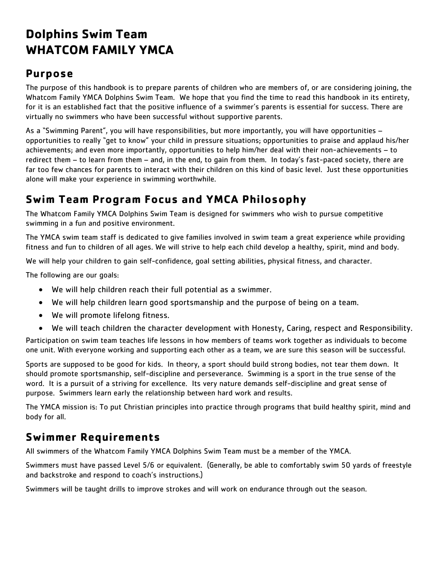# **Dolphins Swim Team WHATCOM FAMILY YMCA**

#### **Purpose**

The purpose of this handbook is to prepare parents of children who are members of, or are considering joining, the Whatcom Family YMCA Dolphins Swim Team. We hope that you find the time to read this handbook in its entirety, for it is an established fact that the positive influence of a swimmer's parents is essential for success. There are virtually no swimmers who have been successful without supportive parents.

As a "Swimming Parent", you will have responsibilities, but more importantly, you will have opportunities – opportunities to really "get to know" your child in pressure situations; opportunities to praise and applaud his/her achievements; and even more importantly, opportunities to help him/her deal with their non-achievements – to redirect them – to learn from them – and, in the end, to gain from them. In today's fast-paced society, there are far too few chances for parents to interact with their children on this kind of basic level. Just these opportunities alone will make your experience in swimming worthwhile.

# **Swim Team Program Focus and YMCA Philosophy**

The Whatcom Family YMCA Dolphins Swim Team is designed for swimmers who wish to pursue competitive swimming in a fun and positive environment.

The YMCA swim team staff is dedicated to give families involved in swim team a great experience while providing fitness and fun to children of all ages. We will strive to help each child develop a healthy, spirit, mind and body.

We will help your children to gain self-confidence, goal setting abilities, physical fitness, and character.

The following are our goals:

- We will help children reach their full potential as a swimmer.
- We will help children learn good sportsmanship and the purpose of being on a team.
- We will promote lifelong fitness.
- We will teach children the character development with Honesty, Caring, respect and Responsibility.

Participation on swim team teaches life lessons in how members of teams work together as individuals to become one unit. With everyone working and supporting each other as a team, we are sure this season will be successful.

Sports are supposed to be good for kids. In theory, a sport should build strong bodies, not tear them down. It should promote sportsmanship, self-discipline and perseverance. Swimming is a sport in the true sense of the word. It is a pursuit of a striving for excellence. Its very nature demands self-discipline and great sense of purpose. Swimmers learn early the relationship between hard work and results.

The YMCA mission is: To put Christian principles into practice through programs that build healthy spirit, mind and body for all.

#### **Swimmer Requirements**

All swimmers of the Whatcom Family YMCA Dolphins Swim Team must be a member of the YMCA.

Swimmers must have passed Level 5/6 or equivalent. (Generally, be able to comfortably swim 50 yards of freestyle and backstroke and respond to coach's instructions.)

Swimmers will be taught drills to improve strokes and will work on endurance through out the season.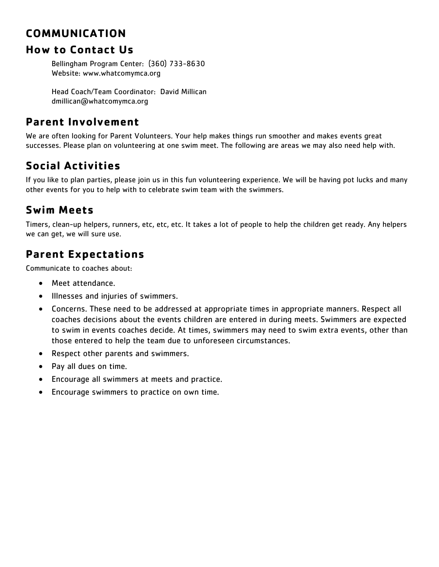#### **COMMUNICATION**

#### **How to Contact Us**

Bellingham Program Center: (360) 733-8630 Website: www.whatcomymca.org

Head Coach/Team Coordinator: David Millican dmillican@whatcomymca.org

#### **Parent Involvement**

We are often looking for Parent Volunteers. Your help makes things run smoother and makes events great successes. Please plan on volunteering at one swim meet. The following are areas we may also need help with.

# **Social Activities**

If you like to plan parties, please join us in this fun volunteering experience. We will be having pot lucks and many other events for you to help with to celebrate swim team with the swimmers.

# **Swim Meets**

Timers, clean-up helpers, runners, etc, etc, etc. It takes a lot of people to help the children get ready. Any helpers we can get, we will sure use.

# **Parent Expectations**

Communicate to coaches about:

- Meet attendance.
- Illnesses and injuries of swimmers.
- Concerns. These need to be addressed at appropriate times in appropriate manners. Respect all coaches decisions about the events children are entered in during meets. Swimmers are expected to swim in events coaches decide. At times, swimmers may need to swim extra events, other than those entered to help the team due to unforeseen circumstances.
- Respect other parents and swimmers.
- Pay all dues on time.
- Encourage all swimmers at meets and practice.
- Encourage swimmers to practice on own time.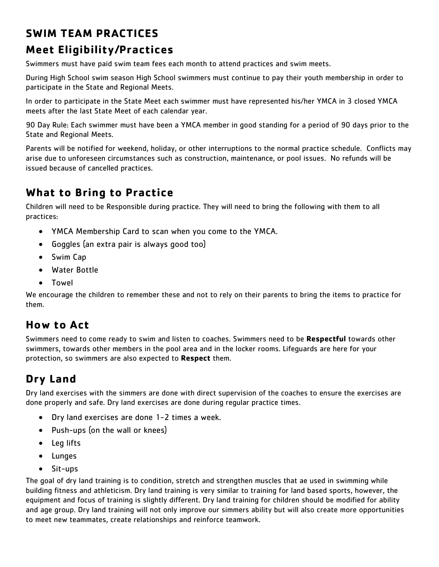# **SWIM TEAM PRACTICES**

# **Meet Eligibility/Practices**

Swimmers must have paid swim team fees each month to attend practices and swim meets.

During High School swim season High School swimmers must continue to pay their youth membership in order to participate in the State and Regional Meets.

In order to participate in the State Meet each swimmer must have represented his/her YMCA in 3 closed YMCA meets after the last State Meet of each calendar year.

90 Day Rule: Each swimmer must have been a YMCA member in good standing for a period of 90 days prior to the State and Regional Meets.

Parents will be notified for weekend, holiday, or other interruptions to the normal practice schedule. Conflicts may arise due to unforeseen circumstances such as construction, maintenance, or pool issues. No refunds will be issued because of cancelled practices.

# **What to Bring to Practice**

Children will need to be Responsible during practice. They will need to bring the following with them to all practices:

- YMCA Membership Card to scan when you come to the YMCA.
- Goggles (an extra pair is always good too)
- Swim Cap
- Water Bottle
- Towel

We encourage the children to remember these and not to rely on their parents to bring the items to practice for them.

#### **How to Act**

Swimmers need to come ready to swim and listen to coaches. Swimmers need to be **Respectful** towards other swimmers, towards other members in the pool area and in the locker rooms. Lifeguards are here for your protection, so swimmers are also expected to **Respect** them.

# **Dry Land**

Dry land exercises with the simmers are done with direct supervision of the coaches to ensure the exercises are done properly and safe. Dry land exercises are done during regular practice times.

- Dry land exercises are done 1-2 times a week.
- Push-ups (on the wall or knees)
- Leg lifts
- Lunges
- Sit-ups

The goal of dry land training is to condition, stretch and strengthen muscles that ae used in swimming while building fitness and athleticism. Dry land training is very similar to training for land based sports, however, the equipment and focus of training is slightly different. Dry land training for children should be modified for ability and age group. Dry land training will not only improve our simmers ability but will also create more opportunities to meet new teammates, create relationships and reinforce teamwork.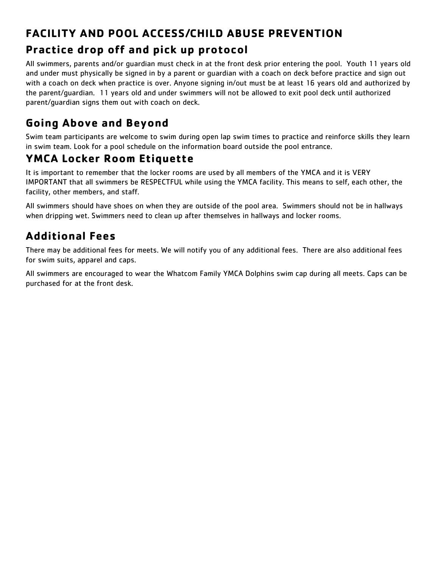# **FACILITY AND POOL ACCESS/CHILD ABUSE PREVENTION Practice drop off and pick up protocol**

All swimmers, parents and/or guardian must check in at the front desk prior entering the pool. Youth 11 years old and under must physically be signed in by a parent or guardian with a coach on deck before practice and sign out with a coach on deck when practice is over. Anyone signing in/out must be at least 16 years old and authorized by the parent/guardian. 11 years old and under swimmers will not be allowed to exit pool deck until authorized parent/guardian signs them out with coach on deck.

# **Going Above and Beyond**

Swim team participants are welcome to swim during open lap swim times to practice and reinforce skills they learn in swim team. Look for a pool schedule on the information board outside the pool entrance.

# **YMCA Locker Room Etiquette**

It is important to remember that the locker rooms are used by all members of the YMCA and it is VERY IMPORTANT that all swimmers be RESPECTFUL while using the YMCA facility. This means to self, each other, the facility, other members, and staff.

All swimmers should have shoes on when they are outside of the pool area. Swimmers should not be in hallways when dripping wet. Swimmers need to clean up after themselves in hallways and locker rooms.

# **Additional Fees**

There may be additional fees for meets. We will notify you of any additional fees. There are also additional fees for swim suits, apparel and caps.

All swimmers are encouraged to wear the Whatcom Family YMCA Dolphins swim cap during all meets. Caps can be purchased for at the front desk.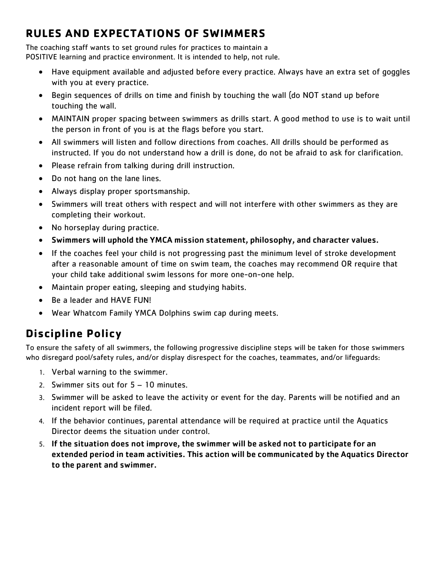# **RULES AND EXPECTATIONS OF SWIMMERS**

The coaching staff wants to set ground rules for practices to maintain a POSITIVE learning and practice environment. It is intended to help, not rule.

- Have equipment available and adjusted before every practice. Always have an extra set of goggles with you at every practice.
- Begin sequences of drills on time and finish by touching the wall (do NOT stand up before touching the wall.
- MAINTAIN proper spacing between swimmers as drills start. A good method to use is to wait until the person in front of you is at the flags before you start.
- All swimmers will listen and follow directions from coaches. All drills should be performed as instructed. If you do not understand how a drill is done, do not be afraid to ask for clarification.
- Please refrain from talking during drill instruction.
- Do not hang on the lane lines.
- Always display proper sportsmanship.
- Swimmers will treat others with respect and will not interfere with other swimmers as they are completing their workout.
- No horseplay during practice.
- Swimmers will uphold the YMCA mission statement, philosophy, and character values.
- If the coaches feel your child is not progressing past the minimum level of stroke development after a reasonable amount of time on swim team, the coaches may recommend OR require that your child take additional swim lessons for more one-on-one help.
- Maintain proper eating, sleeping and studying habits.
- Be a leader and HAVE FUN!
- Wear Whatcom Family YMCA Dolphins swim cap during meets.

# **Discipline Policy**

To ensure the safety of all swimmers, the following progressive discipline steps will be taken for those swimmers who disregard pool/safety rules, and/or display disrespect for the coaches, teammates, and/or lifequards:

- 1. Verbal warning to the swimmer.
- 2. Swimmer sits out for 5 10 minutes.
- 3. Swimmer will be asked to leave the activity or event for the day. Parents will be notified and an incident report will be filed.
- 4. If the behavior continues, parental attendance will be required at practice until the Aquatics Director deems the situation under control.
- 5. If the situation does not improve, the swimmer will be asked not to participate for an extended period in team activities. This action will be communicated by the Aquatics Director to the parent and swimmer.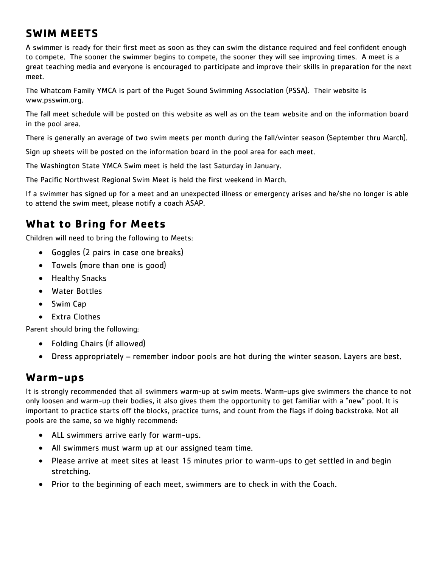#### **SWIM MEETS**

A swimmer is ready for their first meet as soon as they can swim the distance required and feel confident enough to compete. The sooner the swimmer begins to compete, the sooner they will see improving times. A meet is a great teaching media and everyone is encouraged to participate and improve their skills in preparation for the next meet.

The Whatcom Family YMCA is part of the Puget Sound Swimming Association (PSSA). Their website is www.psswim.org.

The fall meet schedule will be posted on this website as well as on the team website and on the information board in the pool area.

There is generally an average of two swim meets per month during the fall/winter season (September thru March).

Sign up sheets will be posted on the information board in the pool area for each meet.

The Washington State YMCA Swim meet is held the last Saturday in January.

The Pacific Northwest Regional Swim Meet is held the first weekend in March.

If a swimmer has signed up for a meet and an unexpected illness or emergency arises and he/she no longer is able to attend the swim meet, please notify a coach ASAP.

#### **What to Bring for Meets**

Children will need to bring the following to Meets:

- Goggles (2 pairs in case one breaks)
- Towels (more than one is good)
- Healthy Snacks
- Water Bottles
- Swim Cap
- Extra Clothes

Parent should bring the following:

- Folding Chairs (if allowed)
- Dress appropriately remember indoor pools are hot during the winter season. Layers are best.

#### **Warm-ups**

It is strongly recommended that all swimmers warm-up at swim meets. Warm-ups give swimmers the chance to not only loosen and warm-up their bodies, it also gives them the opportunity to get familiar with a "new" pool. It is important to practice starts off the blocks, practice turns, and count from the flags if doing backstroke. Not all pools are the same, so we highly recommend:

- ALL swimmers arrive early for warm-ups.
- All swimmers must warm up at our assigned team time.
- Please arrive at meet sites at least 15 minutes prior to warm-ups to get settled in and begin stretching.
- Prior to the beginning of each meet, swimmers are to check in with the Coach.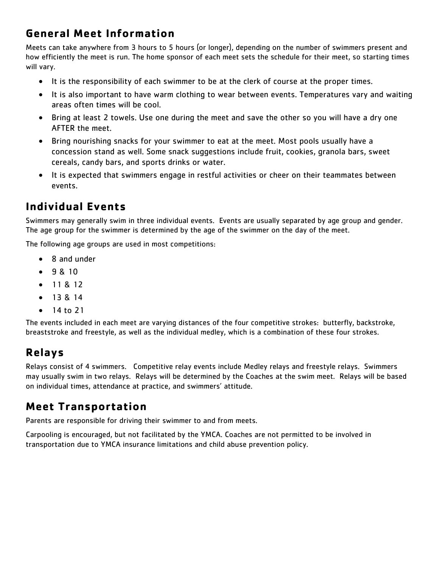# **General Meet Information**

Meets can take anywhere from 3 hours to 5 hours (or longer), depending on the number of swimmers present and how efficiently the meet is run. The home sponsor of each meet sets the schedule for their meet, so starting times will vary.

- It is the responsibility of each swimmer to be at the clerk of course at the proper times.
- It is also important to have warm clothing to wear between events. Temperatures vary and waiting areas often times will be cool.
- Bring at least 2 towels. Use one during the meet and save the other so you will have a dry one AFTER the meet.
- Bring nourishing snacks for your swimmer to eat at the meet. Most pools usually have a concession stand as well. Some snack suggestions include fruit, cookies, granola bars, sweet cereals, candy bars, and sports drinks or water.
- It is expected that swimmers engage in restful activities or cheer on their teammates between events.

#### **Individual Events**

Swimmers may generally swim in three individual events. Events are usually separated by age group and gender. The age group for the swimmer is determined by the age of the swimmer on the day of the meet.

The following age groups are used in most competitions:

- 8 and under
- 9 & 10
- 11 & 12
- $13814$
- 14 to 21

The events included in each meet are varying distances of the four competitive strokes: butterfly, backstroke, breaststroke and freestyle, as well as the individual medley, which is a combination of these four strokes.

# **Relays**

Relays consist of 4 swimmers. Competitive relay events include Medley relays and freestyle relays. Swimmers may usually swim in two relays. Relays will be determined by the Coaches at the swim meet. Relays will be based on individual times, attendance at practice, and swimmers' attitude.

#### **Meet Transportation**

Parents are responsible for driving their swimmer to and from meets.

Carpooling is encouraged, but not facilitated by the YMCA. Coaches are not permitted to be involved in transportation due to YMCA insurance limitations and child abuse prevention policy.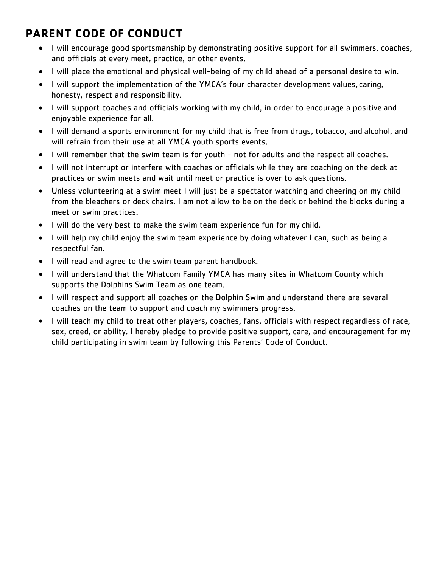# **PARENT CODE OF CONDUCT**

- I will encourage good sportsmanship by demonstrating positive support for all swimmers, coaches, and officials at every meet, practice, or other events.
- I will place the emotional and physical well-being of my child ahead of a personal desire to win.
- I will support the implementation of the YMCA's four character development values, caring, honesty, respect and responsibility.
- I will support coaches and officials working with my child, in order to encourage a positive and enjoyable experience for all.
- I will demand a sports environment for my child that is free from drugs, tobacco, and alcohol, and will refrain from their use at all YMCA youth sports events.
- I will remember that the swim team is for youth not for adults and the respect all coaches.
- I will not interrupt or interfere with coaches or officials while they are coaching on the deck at practices or swim meets and wait until meet or practice is over to ask questions.
- Unless volunteering at a swim meet I will just be a spectator watching and cheering on my child from the bleachers or deck chairs. I am not allow to be on the deck or behind the blocks during a meet or swim practices.
- I will do the very best to make the swim team experience fun for my child.
- I will help my child enjoy the swim team experience by doing whatever I can, such as being a respectful fan.
- I will read and agree to the swim team parent handbook.
- I will understand that the Whatcom Family YMCA has many sites in Whatcom County which supports the Dolphins Swim Team as one team.
- I will respect and support all coaches on the Dolphin Swim and understand there are several coaches on the team to support and coach my swimmers progress.
- I will teach my child to treat other players, coaches, fans, officials with respect regardless of race, sex, creed, or ability. I hereby pledge to provide positive support, care, and encouragement for my child participating in swim team by following this Parents' Code of Conduct.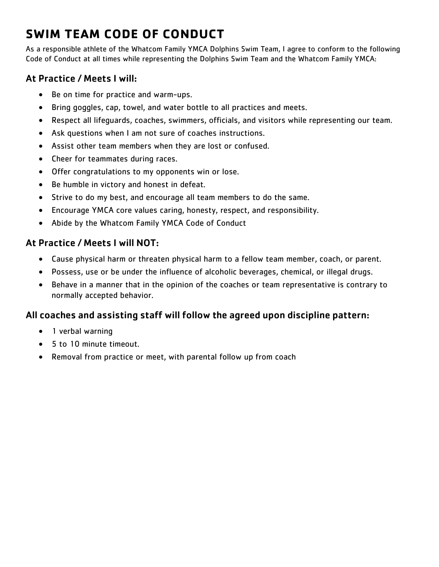# **SWIM TEAM CODE OF CONDUCT**

As a responsible athlete of the Whatcom Family YMCA Dolphins Swim Team, I agree to conform to the following Code of Conduct at all times while representing the Dolphins Swim Team and the Whatcom Family YMCA:

#### At Practice / Meets I will:

- Be on time for practice and warm-ups.
- Bring goggles, cap, towel, and water bottle to all practices and meets.
- Respect all lifeguards, coaches, swimmers, officials, and visitors while representing our team.
- Ask questions when I am not sure of coaches instructions.
- Assist other team members when they are lost or confused.
- Cheer for teammates during races.
- Offer congratulations to my opponents win or lose.
- Be humble in victory and honest in defeat.
- Strive to do my best, and encourage all team members to do the same.
- Encourage YMCA core values caring, honesty, respect, and responsibility.
- Abide by the Whatcom Family YMCA Code of Conduct

#### At Practice / Meets I will NOT:

- Cause physical harm or threaten physical harm to a fellow team member, coach, or parent.
- Possess, use or be under the influence of alcoholic beverages, chemical, or illegal drugs.
- Behave in a manner that in the opinion of the coaches or team representative is contrary to normally accepted behavior.

#### All coaches and assisting staff will follow the agreed upon discipline pattern:

- 1 verbal warning
- 5 to 10 minute timeout.
- Removal from practice or meet, with parental follow up from coach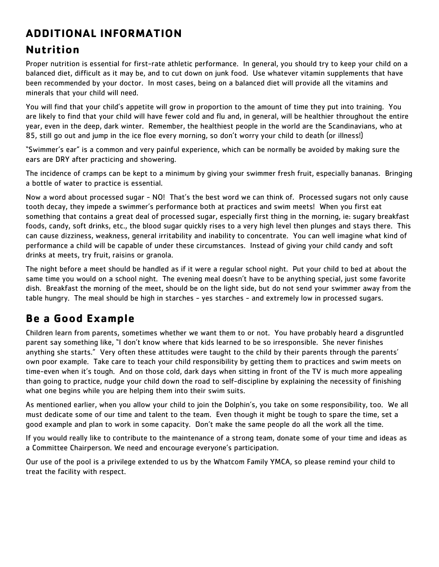# **ADDITIONAL INFORMATION**

#### **Nutrition**

Proper nutrition is essential for first-rate athletic performance. In general, you should try to keep your child on a balanced diet, difficult as it may be, and to cut down on junk food. Use whatever vitamin supplements that have been recommended by your doctor. In most cases, being on a balanced diet will provide all the vitamins and minerals that your child will need.

You will find that your child's appetite will grow in proportion to the amount of time they put into training. You are likely to find that your child will have fewer cold and flu and, in general, will be healthier throughout the entire year, even in the deep, dark winter. Remember, the healthiest people in the world are the Scandinavians, who at 85, still go out and jump in the ice floe every morning, so don't worry your child to death (or illness!)

"Swimmer's ear" is a common and very painful experience, which can be normally be avoided by making sure the ears are DRY after practicing and showering.

The incidence of cramps can be kept to a minimum by giving your swimmer fresh fruit, especially bananas. Bringing a bottle of water to practice is essential.

Now a word about processed sugar - NO! That's the best word we can think of. Processed sugars not only cause tooth decay, they impede a swimmer's performance both at practices and swim meets! When you first eat something that contains a great deal of processed sugar, especially first thing in the morning, ie: sugary breakfast foods, candy, soft drinks, etc., the blood sugar quickly rises to a very high level then plunges and stays there. This can cause dizziness, weakness, general irritability and inability to concentrate. You can well imagine what kind of performance a child will be capable of under these circumstances. Instead of giving your child candy and soft drinks at meets, try fruit, raisins or granola.

The night before a meet should be handled as if it were a regular school night. Put your child to bed at about the same time you would on a school night. The evening meal doesn't have to be anything special, just some favorite dish. Breakfast the morning of the meet, should be on the light side, but do not send your swimmer away from the table hungry. The meal should be high in starches - yes starches - and extremely low in processed sugars.

# **Be a Good Example**

Children learn from parents, sometimes whether we want them to or not. You have probably heard a disgruntled parent say something like, "I don't know where that kids learned to be so irresponsible. She never finishes anything she starts." Very often these attitudes were taught to the child by their parents through the parents' own poor example. Take care to teach your child responsibility by getting them to practices and swim meets on time-even when it's tough. And on those cold, dark days when sitting in front of the TV is much more appealing than going to practice, nudge your child down the road to self-discipline by explaining the necessity of finishing what one begins while you are helping them into their swim suits.

As mentioned earlier, when you allow your child to join the Dolphin's, you take on some responsibility, too. We all must dedicate some of our time and talent to the team. Even though it might be tough to spare the time, set a good example and plan to work in some capacity. Don't make the same people do all the work all the time.

If you would really like to contribute to the maintenance of a strong team, donate some of your time and ideas as a Committee Chairperson. We need and encourage everyone's participation.

Our use of the pool is a privilege extended to us by the Whatcom Family YMCA, so please remind your child to treat the facility with respect.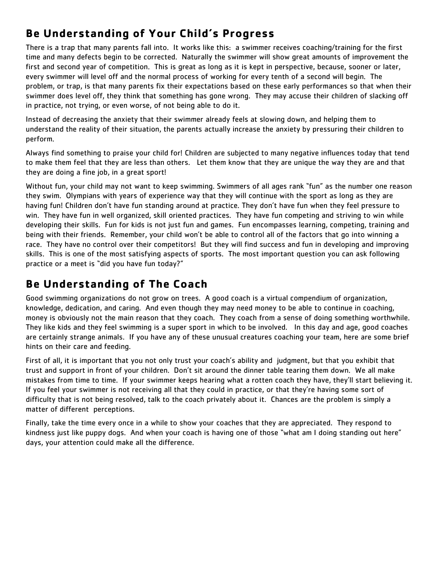# **Be Understanding of Your Child's Progress**

There is a trap that many parents fall into. It works like this: a swimmer receives coaching/training for the first time and many defects begin to be corrected. Naturally the swimmer will show great amounts of improvement the first and second year of competition. This is great as long as it is kept in perspective, because, sooner or later, every swimmer will level off and the normal process of working for every tenth of a second will begin. The problem, or trap, is that many parents fix their expectations based on these early performances so that when their swimmer does level off, they think that something has gone wrong. They may accuse their children of slacking off in practice, not trying, or even worse, of not being able to do it.

Instead of decreasing the anxiety that their swimmer already feels at slowing down, and helping them to understand the reality of their situation, the parents actually increase the anxiety by pressuring their children to perform.

Always find something to praise your child for! Children are subjected to many negative influences today that tend to make them feel that they are less than others. Let them know that they are unique the way they are and that they are doing a fine job, in a great sport!

Without fun, your child may not want to keep swimming. Swimmers of all ages rank "fun" as the number one reason they swim. Olympians with years of experience way that they will continue with the sport as long as they are having fun! Children don't have fun standing around at practice. They don't have fun when they feel pressure to win. They have fun in well organized, skill oriented practices. They have fun competing and striving to win while developing their skills. Fun for kids is not just fun and games. Fun encompasses learning, competing, training and being with their friends. Remember, your child won't be able to control all of the factors that go into winning a race. They have no control over their competitors! But they will find success and fun in developing and improving skills. This is one of the most satisfying aspects of sports. The most important question you can ask following practice or a meet is "did you have fun today?"

#### **Be Understanding of The Coach**

Good swimming organizations do not grow on trees. A good coach is a virtual compendium of organization, knowledge, dedication, and caring. And even though they may need money to be able to continue in coaching, money is obviously not the main reason that they coach. They coach from a sense of doing something worthwhile. They like kids and they feel swimming is a super sport in which to be involved. In this day and age, good coaches are certainly strange animals. If you have any of these unusual creatures coaching your team, here are some brief hints on their care and feeding.

First of all, it is important that you not only trust your coach's ability and judgment, but that you exhibit that trust and support in front of your children. Don't sit around the dinner table tearing them down. We all make mistakes from time to time. If your swimmer keeps hearing what a rotten coach they have, they'll start believing it. If you feel your swimmer is not receiving all that they could in practice, or that they're having some sort of difficulty that is not being resolved, talk to the coach privately about it. Chances are the problem is simply a matter of different perceptions.

Finally, take the time every once in a while to show your coaches that they are appreciated. They respond to kindness just like puppy dogs. And when your coach is having one of those "what am I doing standing out here" days, your attention could make all the difference.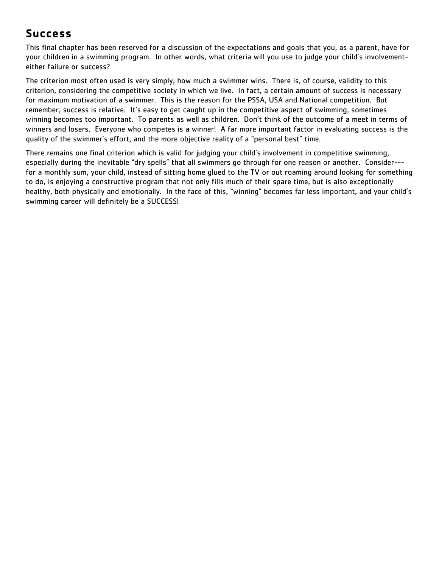#### **Success**

This final chapter has been reserved for a discussion of the expectations and goals that you, as a parent, have for your children in a swimming program. In other words, what criteria will you use to judge your child's involvementeither failure or success?

The criterion most often used is very simply, how much a swimmer wins. There is, of course, validity to this criterion, considering the competitive society in which we live. In fact, a certain amount of success is necessary for maximum motivation of a swimmer. This is the reason for the PSSA, USA and National competition. But remember, success is relative. It's easy to get caught up in the competitive aspect of swimming, sometimes winning becomes too important. To parents as well as children. Don't think of the outcome of a meet in terms of winners and losers. Everyone who competes is a winner! A far more important factor in evaluating success is the quality of the swimmer's effort, and the more objective reality of a "personal best" time.

There remains one final criterion which is valid for judging your child's involvement in competitive swimming, especially during the inevitable "dry spells" that all swimmers go through for one reason or another. Consider-- for a monthly sum, your child, instead of sitting home glued to the TV or out roaming around looking for something to do, is enjoying a constructive program that not only fills much of their spare time, but is also exceptionally healthy, both physically and emotionally. In the face of this, "winning" becomes far less important, and your child's swimming career will definitely be a SUCCESS!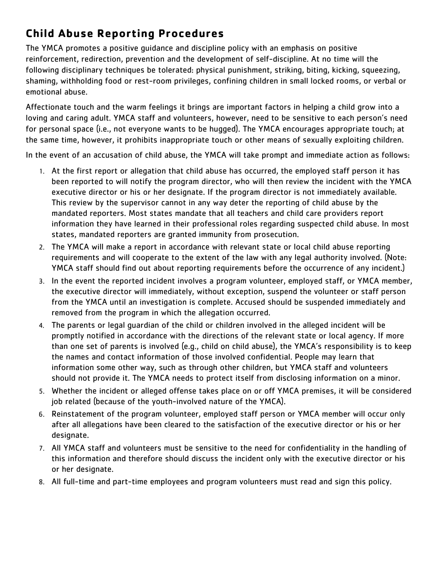# **Child Abuse Reporting Procedures**

The YMCA promotes a positive guidance and discipline policy with an emphasis on positive reinforcement, redirection, prevention and the development of self-discipline. At no time will the following disciplinary techniques be tolerated: physical punishment, striking, biting, kicking, squeezing, shaming, withholding food or rest-room privileges, confining children in small locked rooms, or verbal or emotional abuse.

Affectionate touch and the warm feelings it brings are important factors in helping a child grow into a loving and caring adult. YMCA staff and volunteers, however, need to be sensitive to each person's need for personal space (i.e., not everyone wants to be hugged). The YMCA encourages appropriate touch; at the same time, however, it prohibits inappropriate touch or other means of sexually exploiting children.

In the event of an accusation of child abuse, the YMCA will take prompt and immediate action as follows:

- 1. At the first report or allegation that child abuse has occurred, the employed staff person it has been reported to will notify the program director, who will then review the incident with the YMCA executive director or his or her designate. If the program director is not immediately available. This review by the supervisor cannot in any way deter the reporting of child abuse by the mandated reporters. Most states mandate that all teachers and child care providers report information they have learned in their professional roles regarding suspected child abuse. In most states, mandated reporters are granted immunity from prosecution.
- 2. The YMCA will make a report in accordance with relevant state or local child abuse reporting requirements and will cooperate to the extent of the law with any legal authority involved. (Note: YMCA staff should find out about reporting requirements before the occurrence of any incident.)
- 3. In the event the reported incident involves a program volunteer, employed staff, or YMCA member, the executive director will immediately, without exception, suspend the volunteer or staff person from the YMCA until an investigation is complete. Accused should be suspended immediately and removed from the program in which the allegation occurred.
- 4. The parents or legal guardian of the child or children involved in the alleged incident will be promptly notified in accordance with the directions of the relevant state or local agency. If more than one set of parents is involved (e.g., child on child abuse), the YMCA's responsibility is to keep the names and contact information of those involved confidential. People may learn that information some other way, such as through other children, but YMCA staff and volunteers should not provide it. The YMCA needs to protect itself from disclosing information on a minor.
- 5. Whether the incident or alleged offense takes place on or off YMCA premises, it will be considered job related (because of the youth-involved nature of the YMCA).
- 6. Reinstatement of the program volunteer, employed staff person or YMCA member will occur only after all allegations have been cleared to the satisfaction of the executive director or his or her designate.
- 7. All YMCA staff and volunteers must be sensitive to the need for confidentiality in the handling of this information and therefore should discuss the incident only with the executive director or his or her designate.
- 8. All full-time and part-time employees and program volunteers must read and sign this policy.